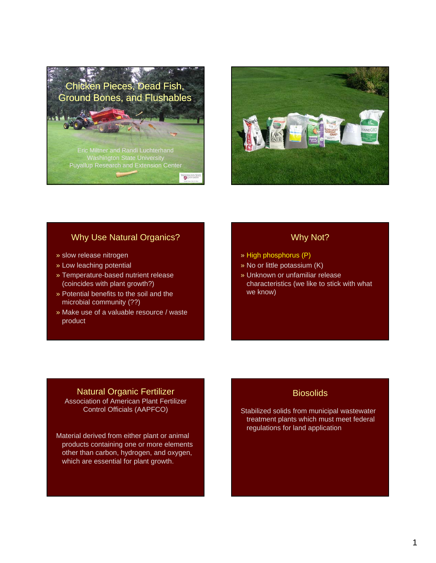



### Why Use Natural Organics?

- » slow release nitrogen
- » Low leaching potential
- » Temperature-based nutrient release (coincides with plant growth?)
- » Potential benefits to the soil and the microbial community (??)
- » Make use of a valuable resource / waste product

### Why Not?

- » High phosphorus (P)
- » No or little potassium (K)
- » Unknown or unfamiliar release characteristics (we like to stick with what we know)

# Natural Organic Fertilizer Association of American Plant Fertilizer

Control Officials (AAPFCO)

Material derived from either plant or animal products containing one or more elements other than carbon, hydrogen, and oxygen, which are essential for plant growth.

# **Biosolids**

Stabilized solids from municipal wastewater treatment plants which must meet federal regulations for land application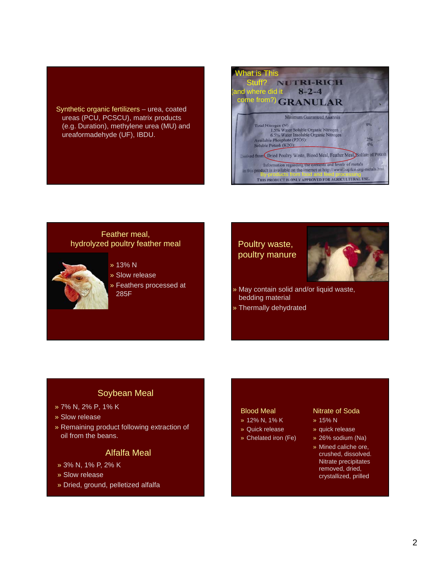Synthetic organic fertilizers – urea, coated ureas (PCU, PCSCU), matrix products (e.g. Duration), methylene urea (MU) and ureaformadehyde (UF), IBDU.



### Feather meal, hydrolyzed poultry feather meal



- » 13% N
- » Slow release
- » Feathers processed at 285F

# Poultry waste, poultry manure



- » May contain solid and/or liquid waste, bedding material
- » Thermally dehydrated

# Soybean Meal

- » 7% N, 2% P, 1% K
- » Slow release
- » Remaining product following extraction of oil from the beans.

### Alfalfa Meal

- » 3% N, 1% P, 2% K
- » Slow release
- » Dried, ground, pelletized alfalfa

#### Blood Meal

- » 12% N, 1% K
- » Quick release
- » Chelated iron (Fe)

#### Nitrate of Soda

- » 15% N
- » quick release
- » 26% sodium (Na)
- » Mined caliche ore, crushed, dissolved. Nitrate precipitates removed, dried, crystallized, prilled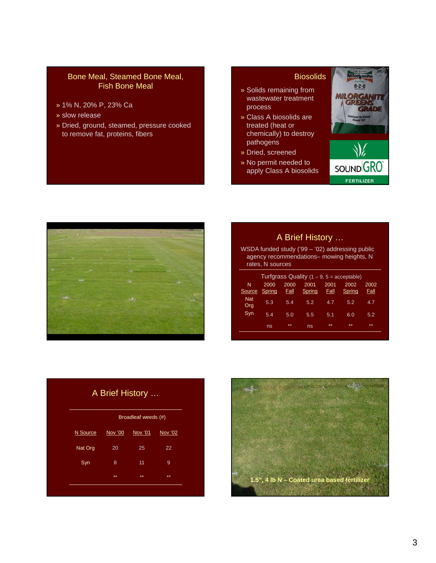### Bone Meal, Steamed Bone Meal, Fish Bone Meal

- » 1% N, 20% P, 23% Ca
- » slow release
- » Dried, ground, steamed, pressure cooked to remove fat, proteins, fibers

#### Biosolids

- » Solids remaining from wastewater treatment process
- » Class A biosolids are treated (heat or chemically) to destroy pathogens
- » Dried, screened
- » No permit needed to apply Class A biosolids





# A Brief History …

WSDA funded study ('99 – '02) addressing public agency recommendations– mowing heights, N rates, N sources

|                   |                |                     |                |                     | Turfgrass Quality $(1 - 9, 5 =$ acceptable) |                     |
|-------------------|----------------|---------------------|----------------|---------------------|---------------------------------------------|---------------------|
| N<br>Source       | 2000<br>Spring | 2000<br><b>Fall</b> | 2001<br>Spring | 2001<br><u>Fall</u> | 2002<br>Spring                              | 2002<br><u>Fall</u> |
| <b>Nat</b><br>Org | 5.3            | 5.4                 | 5.2            | 4.7                 | 5.2                                         | 4.7                 |
| Syn               | 5.4            | 5.0                 | 5.5            | 5.1                 | 6.0                                         | 5.2                 |
|                   | ns             | **                  | ns             | **                  | **                                          | **                  |

|          |         | Broadleaf weeds (#) |         |  |  |
|----------|---------|---------------------|---------|--|--|
| N Source | Nov '00 | Nov '01             | Nov '02 |  |  |
| Nat Org  | 20      | 25                  | 22      |  |  |
| Syn      | 8       | 11                  | 9       |  |  |
|          | **      | 火火                  | **      |  |  |

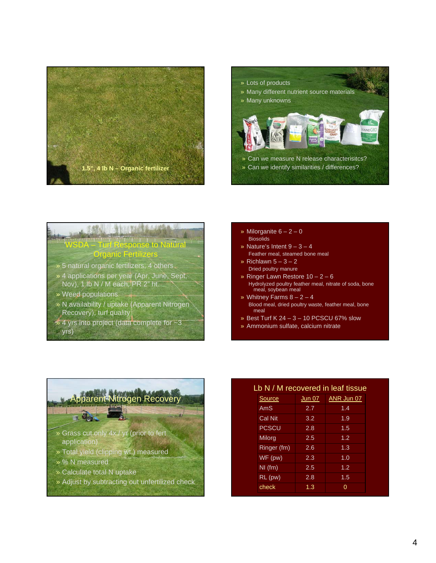



# **AMAL ALBERTA** WSDA – Turf Response to Natural Organic Fertilizers

- » 5 natural organic fertilizers, 4 others
- » 4 applications per year (Apr, June, Sept, Nov), 1 lb N / M each, PR 2" ht.
- » Weed populations
- » N availability / uptake (Apparent Nitrogen Recovery), turf quality
- $\rightarrow$  4 yrs into project (data complete for  $\sim$ 3
- yrs)
- » Milorganite  $6 2 0$ Biosolids
- » Nature's Intent  $9 3 4$ Feather meal, steamed bone meal
- » Richlawn  $5 3 2$ Dried poultry manure
- » Ringer Lawn Restore 10 2 6
- Hydrolyzed poultry feather meal, nitrate of soda, bone meal, soybean meal
- » Whitney Farms  $8 2 4$ Blood meal, dried poultry waste, feather meal, bone meal
- » Best Turf K  $24 3 10$  PCSCU 67% slow
- » Ammonium sulfate, calcium nitrate



- » Calculate total N uptake
- » Adjust by subtracting out unfertilized check

### Lb N / M recovered in leaf tissue

| Source        | <b>Jun 07</b> | ANR Jun 07       |
|---------------|---------------|------------------|
| AmS           | 2.7           | 1.4              |
| Cal Nit       | 3.2           | $\overline{1.9}$ |
| <b>PCSCU</b>  | 2.8           | 1.5              |
| <b>Milorg</b> | 2.5           | 1.2 <sub>2</sub> |
| Ringer (fm)   | 2.6           | 1.3              |
| WF(pw)        | 2.3           | 1.0              |
| $NI$ (fm)     | 2.5           | 1.2              |
| $RL$ (pw)     | 2.8           | 1.5              |
| check         | 1.3           | 0                |